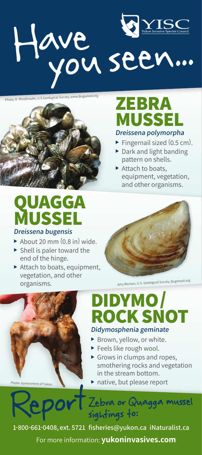



# **ZEBRA MUSSE**

#### **Dreissena polymorpha**

- Fingernail sized  $(0.5 \text{ cm})$ .
- $\triangleright$  Dark and light banding pattern on shells.
- $\blacktriangleright$  Attach to boats, equipment, vegetation, and other organisms.

# **QUAGGA MUSSEL Dreissena bugensis**

- $\blacktriangleright$  About 20 mm (0.8 in) wide.
- $\blacktriangleright$  Shell is paler toward the end of the hinge.
- $\blacktriangleright$  Attach to boats, equipment, vegetation, and other organisms.



Amy Benson, U.S. Geological Survey, Bugwood.org



# **DIDYMO/ ROCK SNOT Didymosphenia geminate**

- $\blacktriangleright$  Brown, yellow, or white.
- $\blacktriangleright$  Feels like rough wool.
- $\triangleright$  Grows in clumps and ropes, smothering rocks and vegetation in the stream bottom.
- $\blacktriangleright$  native, but please report

Zebra or Quagga mussel sightings to:

**1-800-661-0408, ext. 5721 fisheries@yukon.ca iNaturalist.ca** For more information: **yukoninvasives.com**